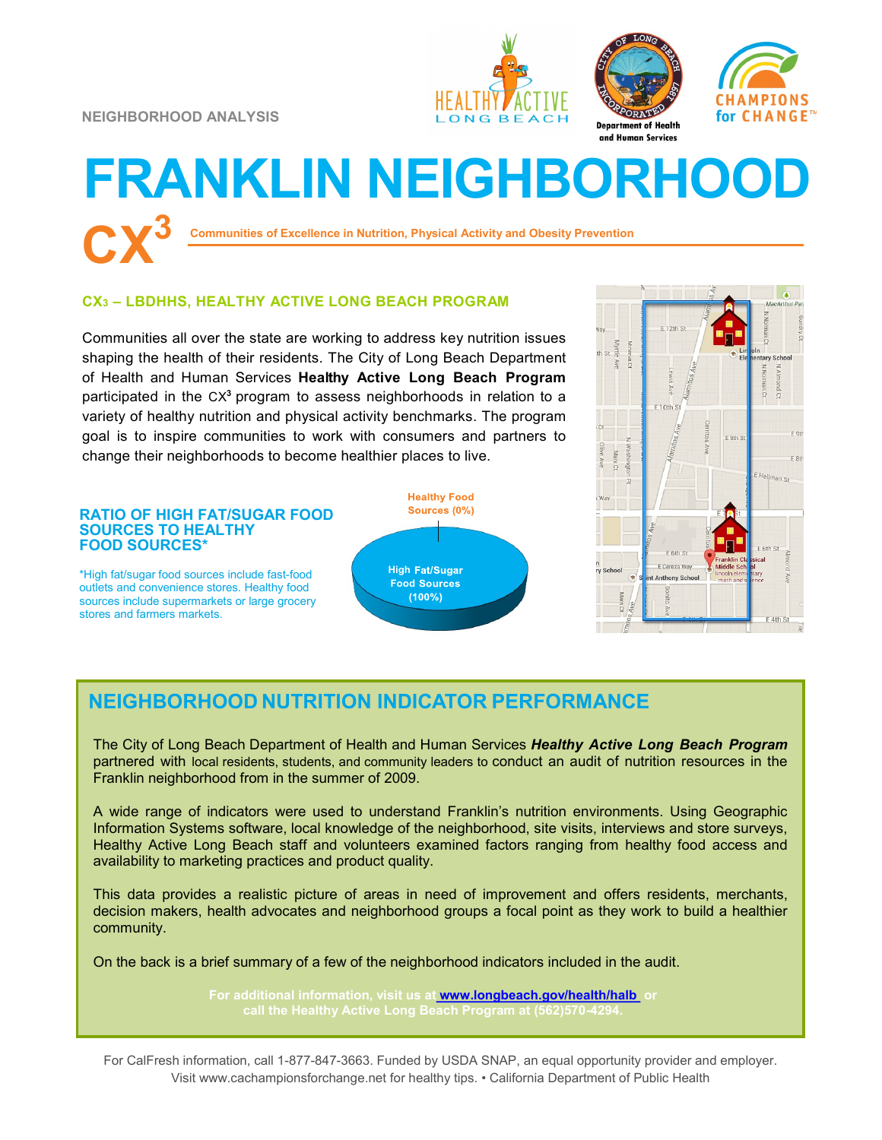**NEIGHBORHOOD ANALYSIS**







# **FRANKLIN NEIGHBORHOOD CX<sup>3</sup>**

**Communities of Excellence in Nutrition, Physical Activity and Obesity Prevention**

### **CX<sup>3</sup> – LBDHHS, HEALTHY ACTIVE LONG BEACH PROGRAM**

Communities all over the state are working to address key nutrition issues shaping the health of their residents. The City of Long Beach Department of Health and Human Services **Healthy Active Long Beach Program**  participated in the CX<sup>3</sup> program to assess neighborhoods in relation to a variety of healthy nutrition and physical activity benchmarks. The program goal is to inspire communities to work with consumers and partners to change their neighborhoods to become healthier places to live.





## **NEIGHBORHOOD NUTRITION INDICATOR PERFORMANCE**

The City of Long Beach Department of Health and Human Services *Healthy Active Long Beach Program*  partnered with local residents, students, and community leaders to conduct an audit of nutrition resources in the Franklin neighborhood from in the summer of 2009.

A wide range of indicators were used to understand Franklin's nutrition environments. Using Geographic Information Systems software, local knowledge of the neighborhood, site visits, interviews and store surveys, Healthy Active Long Beach staff and volunteers examined factors ranging from healthy food access and availability to marketing practices and product quality.

This data provides a realistic picture of areas in need of improvement and offers residents, merchants, decision makers, health advocates and neighborhood groups a focal point as they work to build a healthier community.

On the back is a brief summary of a few of the neighborhood indicators included in the audit.

**For additional information, visit us at [www.longbeach.gov/health/halb](http://%20www.longbeach.gov/health%20) or call the Healthy Active Long Beach Program at (562)570-4294.** 

For CalFresh information, call 1-877-847-3663. Funded by USDA SNAP, an equal opportunity provider and employer. Visit www.cachampionsforchange.net for healthy tips. • California Department of Public Health